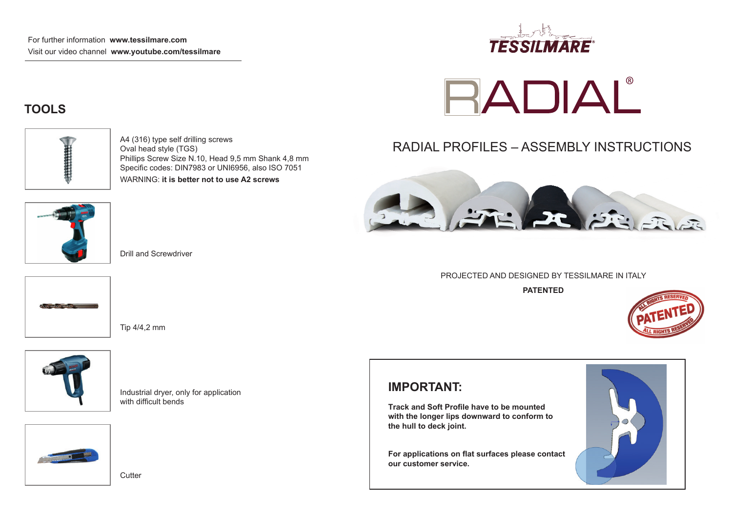

# **RADIAL**

# RADIAL PROFILES – ASSEMBLY INSTRUCTIONS



#### PROJECTED AND DESIGNED BY TESSILMARE IN ITALY

**PATENTED**



#### **IMPORTANT:**

**Track and Soft Profile have to be mounted with the longer lips downward to conform to the hull to deck joint.**

**For applications on flat surfaces please contact our customer service.**



## **TOOLS**



A4 (316) type self drilling screws Oval head style (TGS) Phillips Screw Size N.10, Head 9,5 mm Shank 4,8 mm Specific codes: DIN7983 or UNI6956, also ISO 7051 WARNING: **it is better not to use A2 screws**



Drill and Screwdriver

Tip 4/4,2 mm





Industrial dryer, only for application with difficult bends